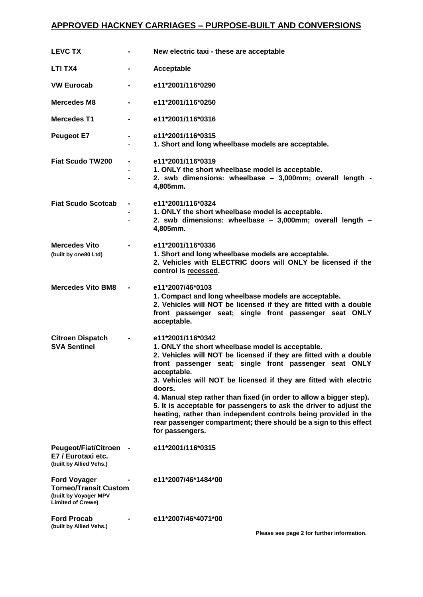## **APPROVED HACKNEY CARRIAGES – PURPOSE-BUILT AND CONVERSIONS**

| <b>LEVC TX</b>                                                                                           |                | New electric taxi - these are acceptable                                                                                                                                                                                                                                                                                                                                                                                                                                                                                                                                                                   |
|----------------------------------------------------------------------------------------------------------|----------------|------------------------------------------------------------------------------------------------------------------------------------------------------------------------------------------------------------------------------------------------------------------------------------------------------------------------------------------------------------------------------------------------------------------------------------------------------------------------------------------------------------------------------------------------------------------------------------------------------------|
| LTI TX4                                                                                                  | -              | Acceptable                                                                                                                                                                                                                                                                                                                                                                                                                                                                                                                                                                                                 |
| <b>VW Eurocab</b>                                                                                        |                | e11*2001/116*0290                                                                                                                                                                                                                                                                                                                                                                                                                                                                                                                                                                                          |
| <b>Mercedes M8</b>                                                                                       |                | e11*2001/116*0250                                                                                                                                                                                                                                                                                                                                                                                                                                                                                                                                                                                          |
| <b>Mercedes T1</b>                                                                                       |                | e11*2001/116*0316                                                                                                                                                                                                                                                                                                                                                                                                                                                                                                                                                                                          |
| <b>Peugeot E7</b>                                                                                        |                | e11*2001/116*0315<br>1. Short and long wheelbase models are acceptable.                                                                                                                                                                                                                                                                                                                                                                                                                                                                                                                                    |
| <b>Fiat Scudo TW200</b>                                                                                  |                | e11*2001/116*0319<br>1. ONLY the short wheelbase model is acceptable.<br>2. swb dimensions: wheelbase - 3,000mm; overall length -<br>4,805mm.                                                                                                                                                                                                                                                                                                                                                                                                                                                              |
| <b>Fiat Scudo Scotcab</b>                                                                                |                | e11*2001/116*0324<br>1. ONLY the short wheelbase model is acceptable.<br>2. swb dimensions: wheelbase - 3,000mm; overall length -<br>4,805mm.                                                                                                                                                                                                                                                                                                                                                                                                                                                              |
| <b>Mercedes Vito</b><br>(built by one80 Ltd)                                                             | $\blacksquare$ | e11*2001/116*0336<br>1. Short and long wheelbase models are acceptable.<br>2. Vehicles with ELECTRIC doors will ONLY be licensed if the<br>control is recessed.                                                                                                                                                                                                                                                                                                                                                                                                                                            |
| <b>Mercedes Vito BM8</b>                                                                                 | $\blacksquare$ | e11*2007/46*0103<br>1. Compact and long wheelbase models are acceptable.<br>2. Vehicles will NOT be licensed if they are fitted with a double<br>front passenger seat; single front passenger seat ONLY<br>acceptable.                                                                                                                                                                                                                                                                                                                                                                                     |
| <b>Citroen Dispatch</b><br><b>SVA Sentinel</b>                                                           |                | e11*2001/116*0342<br>1. ONLY the short wheelbase model is acceptable.<br>2. Vehicles will NOT be licensed if they are fitted with a double<br>front passenger seat; single front passenger seat ONLY<br>acceptable.<br>3. Vehicles will NOT be licensed if they are fitted with electric<br>doors.<br>4. Manual step rather than fixed (in order to allow a bigger step).<br>5. It is acceptable for passengers to ask the driver to adjust the<br>heating, rather than independent controls being provided in the<br>rear passenger compartment; there should be a sign to this effect<br>for passengers. |
| <b>Peugeot/Fiat/Citroen</b><br>E7 / Eurotaxi etc.<br>(built by Allied Vehs.)                             |                | e11*2001/116*0315                                                                                                                                                                                                                                                                                                                                                                                                                                                                                                                                                                                          |
| <b>Ford Voyager</b><br><b>Torneo/Transit Custom</b><br>(built by Voyager MPV<br><b>Limited of Crewe)</b> |                | e11*2007/46*1484*00                                                                                                                                                                                                                                                                                                                                                                                                                                                                                                                                                                                        |
| <b>Ford Procab</b><br>(built by Allied Vehs.)                                                            |                | e11*2007/46*4071*00<br>Please see page 2 for further information.                                                                                                                                                                                                                                                                                                                                                                                                                                                                                                                                          |